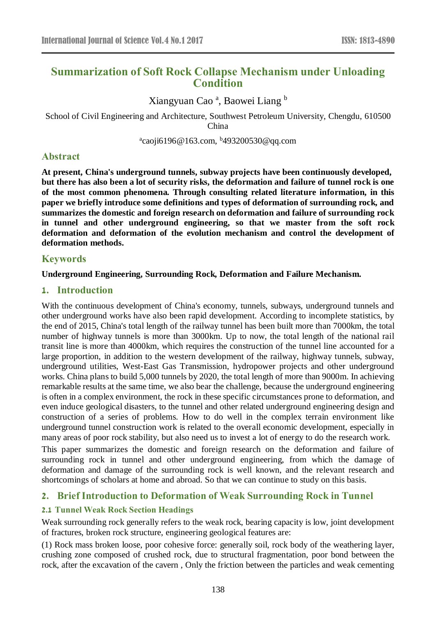# **Summarization of Soft Rock Collapse Mechanism under Unloading Condition**

Xiangyuan Cao<sup>a</sup>, Baowei Liang b

School of Civil Engineering and Architecture, Southwest Petroleum University, Chengdu, 610500 China

<sup>a</sup>caoji6196@163.com, <sup>b</sup>493200530@qq.com

# **Abstract**

**At present, China's underground tunnels, subway projects have been continuously developed, but there has also been a lot of security risks, the deformation and failure of tunnel rock is one of the most common phenomena. Through consulting related literature information, in this paper we briefly introduce some definitions and types of deformation of surrounding rock, and summarizes the domestic and foreign research on deformation and failure of surrounding rock in tunnel and other underground engineering, so that we master from the soft rock deformation and deformation of the evolution mechanism and control the development of deformation methods.**

# **Keywords**

### **Underground Engineering, Surrounding Rock, Deformation and Failure Mechanism.**

# **1. Introduction**

With the continuous development of China's economy, tunnels, subways, underground tunnels and other underground works have also been rapid development. According to incomplete statistics, by the end of 2015, China's total length of the railway tunnel has been built more than 7000km, the total number of highway tunnels is more than 3000km. Up to now, the total length of the national rail transit line is more than 4000km, which requires the construction of the tunnel line accounted for a large proportion, in addition to the western development of the railway, highway tunnels, subway, underground utilities, West-East Gas Transmission, hydropower projects and other underground works. China plans to build 5,000 tunnels by 2020, the total length of more than 9000m. In achieving remarkable results at the same time, we also bear the challenge, because the underground engineering is often in a complex environment, the rock in these specific circumstances prone to deformation, and even induce geological disasters, to the tunnel and other related underground engineering design and construction of a series of problems. How to do well in the complex terrain environment like underground tunnel construction work is related to the overall economic development, especially in many areas of poor rock stability, but also need us to invest a lot of energy to do the research work.

This paper summarizes the domestic and foreign research on the deformation and failure of surrounding rock in tunnel and other underground engineering, from which the damage of deformation and damage of the surrounding rock is well known, and the relevant research and shortcomings of scholars at home and abroad. So that we can continue to study on this basis.

# **2. Brief Introduction to Deformation of Weak Surrounding Rock in Tunnel**

# **2.1 Tunnel Weak Rock Section Headings**

Weak surrounding rock generally refers to the weak rock, bearing capacity is low, joint development of fractures, broken rock structure, engineering geological features are:

(1) Rock mass broken loose, poor cohesive force: generally soil, rock body of the weathering layer, crushing zone composed of crushed rock, due to structural fragmentation, poor bond between the rock, after the excavation of the cavern , Only the friction between the particles and weak cementing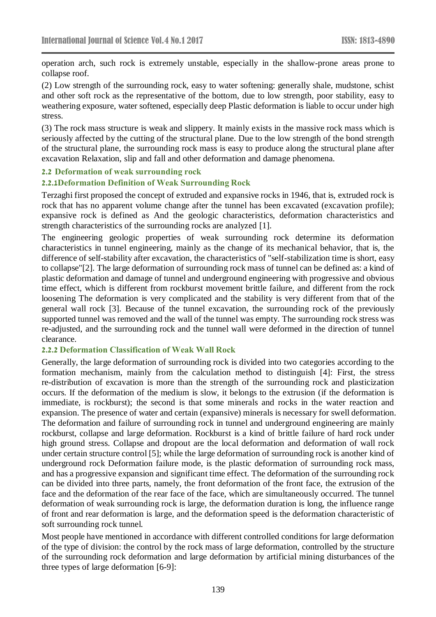operation arch, such rock is extremely unstable, especially in the shallow-prone areas prone to collapse roof.

(2) Low strength of the surrounding rock, easy to water softening: generally shale, mudstone, schist and other soft rock as the representative of the bottom, due to low strength, poor stability, easy to weathering exposure, water softened, especially deep Plastic deformation is liable to occur under high stress.

(3) The rock mass structure is weak and slippery. It mainly exists in the massive rock mass which is seriously affected by the cutting of the structural plane. Due to the low strength of the bond strength of the structural plane, the surrounding rock mass is easy to produce along the structural plane after excavation Relaxation, slip and fall and other deformation and damage phenomena.

#### **2.2 Deformation of weak surrounding rock**

#### **2.2.1Deformation Definition of Weak Surrounding Rock**

Terzaghi first proposed the concept of extruded and expansive rocks in 1946, that is, extruded rock is rock that has no apparent volume change after the tunnel has been excavated (excavation profile); expansive rock is defined as And the geologic characteristics, deformation characteristics and strength characteristics of the surrounding rocks are analyzed [1].

The engineering geologic properties of weak surrounding rock determine its deformation characteristics in tunnel engineering, mainly as the change of its mechanical behavior, that is, the difference of self-stability after excavation, the characteristics of "self-stabilization time is short, easy to collapse"[2]. The large deformation of surrounding rock mass of tunnel can be defined as: a kind of plastic deformation and damage of tunnel and underground engineering with progressive and obvious time effect, which is different from rockburst movement brittle failure, and different from the rock loosening The deformation is very complicated and the stability is very different from that of the general wall rock [3]. Because of the tunnel excavation, the surrounding rock of the previously supported tunnel was removed and the wall of the tunnel was empty. The surrounding rock stress was re-adjusted, and the surrounding rock and the tunnel wall were deformed in the direction of tunnel clearance.

#### **2.2.2 Deformation Classification of Weak Wall Rock**

Generally, the large deformation of surrounding rock is divided into two categories according to the formation mechanism, mainly from the calculation method to distinguish [4]: First, the stress re-distribution of excavation is more than the strength of the surrounding rock and plasticization occurs. If the deformation of the medium is slow, it belongs to the extrusion (if the deformation is immediate, is rockburst); the second is that some minerals and rocks in the water reaction and expansion. The presence of water and certain (expansive) minerals is necessary for swell deformation. The deformation and failure of surrounding rock in tunnel and underground engineering are mainly rockburst, collapse and large deformation. Rockburst is a kind of brittle failure of hard rock under high ground stress. Collapse and dropout are the local deformation and deformation of wall rock under certain structure control [5]; while the large deformation of surrounding rock is another kind of underground rock Deformation failure mode, is the plastic deformation of surrounding rock mass, and has a progressive expansion and significant time effect. The deformation of the surrounding rock can be divided into three parts, namely, the front deformation of the front face, the extrusion of the face and the deformation of the rear face of the face, which are simultaneously occurred. The tunnel deformation of weak surrounding rock is large, the deformation duration is long, the influence range of front and rear deformation is large, and the deformation speed is the deformation characteristic of soft surrounding rock tunnel.

Most people have mentioned in accordance with different controlled conditions for large deformation of the type of division: the control by the rock mass of large deformation, controlled by the structure of the surrounding rock deformation and large deformation by artificial mining disturbances of the three types of large deformation [6-9]: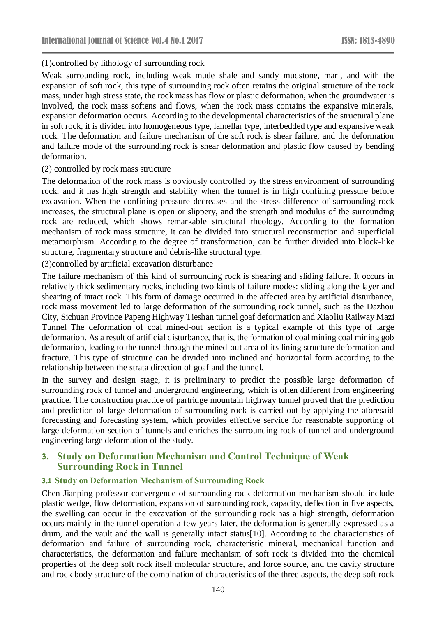### (1)controlled by lithology of surrounding rock

Weak surrounding rock, including weak mude shale and sandy mudstone, marl, and with the expansion of soft rock, this type of surrounding rock often retains the original structure of the rock mass, under high stress state, the rock mass has flow or plastic deformation, when the groundwater is involved, the rock mass softens and flows, when the rock mass contains the expansive minerals, expansion deformation occurs. According to the developmental characteristics of the structural plane in soft rock, it is divided into homogeneous type, lamellar type, interbedded type and expansive weak rock. The deformation and failure mechanism of the soft rock is shear failure, and the deformation and failure mode of the surrounding rock is shear deformation and plastic flow caused by bending deformation.

### (2) controlled by rock mass structure

The deformation of the rock mass is obviously controlled by the stress environment of surrounding rock, and it has high strength and stability when the tunnel is in high confining pressure before excavation. When the confining pressure decreases and the stress difference of surrounding rock increases, the structural plane is open or slippery, and the strength and modulus of the surrounding rock are reduced, which shows remarkable structural rheology. According to the formation mechanism of rock mass structure, it can be divided into structural reconstruction and superficial metamorphism. According to the degree of transformation, can be further divided into block-like structure, fragmentary structure and debris-like structural type.

(3)controlled by artificial excavation disturbance

The failure mechanism of this kind of surrounding rock is shearing and sliding failure. It occurs in relatively thick sedimentary rocks, including two kinds of failure modes: sliding along the layer and shearing of intact rock. This form of damage occurred in the affected area by artificial disturbance, rock mass movement led to large deformation of the surrounding rock tunnel, such as the Dazhou City, Sichuan Province Papeng Highway Tieshan tunnel goaf deformation and Xiaoliu Railway Mazi Tunnel The deformation of coal mined-out section is a typical example of this type of large deformation. As a result of artificial disturbance, that is, the formation of coal mining coal mining gob deformation, leading to the tunnel through the mined-out area of its lining structure deformation and fracture. This type of structure can be divided into inclined and horizontal form according to the relationship between the strata direction of goaf and the tunnel.

In the survey and design stage, it is preliminary to predict the possible large deformation of surrounding rock of tunnel and underground engineering, which is often different from engineering practice. The construction practice of partridge mountain highway tunnel proved that the prediction and prediction of large deformation of surrounding rock is carried out by applying the aforesaid forecasting and forecasting system, which provides effective service for reasonable supporting of large deformation section of tunnels and enriches the surrounding rock of tunnel and underground engineering large deformation of the study.

# **3. Study on Deformation Mechanism and Control Technique of Weak Surrounding Rock in Tunnel**

### **3.1 Study on Deformation Mechanism of Surrounding Rock**

Chen Jianping professor convergence of surrounding rock deformation mechanism should include plastic wedge, flow deformation, expansion of surrounding rock, capacity, deflection in five aspects, the swelling can occur in the excavation of the surrounding rock has a high strength, deformation occurs mainly in the tunnel operation a few years later, the deformation is generally expressed as a drum, and the vault and the wall is generally intact status[10]. According to the characteristics of deformation and failure of surrounding rock, characteristic mineral, mechanical function and characteristics, the deformation and failure mechanism of soft rock is divided into the chemical properties of the deep soft rock itself molecular structure, and force source, and the cavity structure and rock body structure of the combination of characteristics of the three aspects, the deep soft rock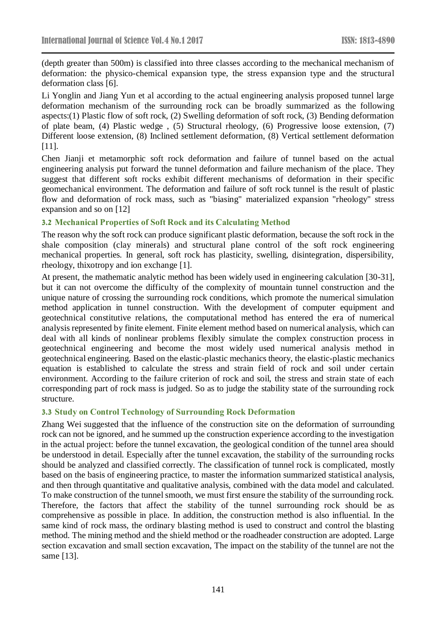(depth greater than 500m) is classified into three classes according to the mechanical mechanism of deformation: the physico-chemical expansion type, the stress expansion type and the structural deformation class [6].

Li Yonglin and Jiang Yun et al according to the actual engineering analysis proposed tunnel large deformation mechanism of the surrounding rock can be broadly summarized as the following aspects:(1) Plastic flow of soft rock, (2) Swelling deformation of soft rock, (3) Bending deformation of plate beam, (4) Plastic wedge , (5) Structural rheology, (6) Progressive loose extension, (7) Different loose extension, (8) Inclined settlement deformation, (8) Vertical settlement deformation [11].

Chen Jianji et metamorphic soft rock deformation and failure of tunnel based on the actual engineering analysis put forward the tunnel deformation and failure mechanism of the place. They suggest that different soft rocks exhibit different mechanisms of deformation in their specific geomechanical environment. The deformation and failure of soft rock tunnel is the result of plastic flow and deformation of rock mass, such as "biasing" materialized expansion "rheology" stress expansion and so on [12]

### **3.2 Mechanical Properties of Soft Rock and its Calculating Method**

The reason why the soft rock can produce significant plastic deformation, because the soft rock in the shale composition (clay minerals) and structural plane control of the soft rock engineering mechanical properties. In general, soft rock has plasticity, swelling, disintegration, dispersibility, rheology, thixotropy and ion exchange [1].

At present, the mathematic analytic method has been widely used in engineering calculation [30-31], but it can not overcome the difficulty of the complexity of mountain tunnel construction and the unique nature of crossing the surrounding rock conditions, which promote the numerical simulation method application in tunnel construction. With the development of computer equipment and geotechnical constitutive relations, the computational method has entered the era of numerical analysis represented by finite element. Finite element method based on numerical analysis, which can deal with all kinds of nonlinear problems flexibly simulate the complex construction process in geotechnical engineering and become the most widely used numerical analysis method in geotechnical engineering. Based on the elastic-plastic mechanics theory, the elastic-plastic mechanics equation is established to calculate the stress and strain field of rock and soil under certain environment. According to the failure criterion of rock and soil, the stress and strain state of each corresponding part of rock mass is judged. So as to judge the stability state of the surrounding rock structure.

### **3.3 Study on Control Technology of Surrounding Rock Deformation**

Zhang Wei suggested that the influence of the construction site on the deformation of surrounding rock can not be ignored, and he summed up the construction experience according to the investigation in the actual project: before the tunnel excavation, the geological condition of the tunnel area should be understood in detail. Especially after the tunnel excavation, the stability of the surrounding rocks should be analyzed and classified correctly. The classification of tunnel rock is complicated, mostly based on the basis of engineering practice, to master the information summarized statistical analysis, and then through quantitative and qualitative analysis, combined with the data model and calculated. To make construction of the tunnel smooth, we must first ensure the stability of the surrounding rock. Therefore, the factors that affect the stability of the tunnel surrounding rock should be as comprehensive as possible in place. In addition, the construction method is also influential. In the same kind of rock mass, the ordinary blasting method is used to construct and control the blasting method. The mining method and the shield method or the roadheader construction are adopted. Large section excavation and small section excavation, The impact on the stability of the tunnel are not the same [13].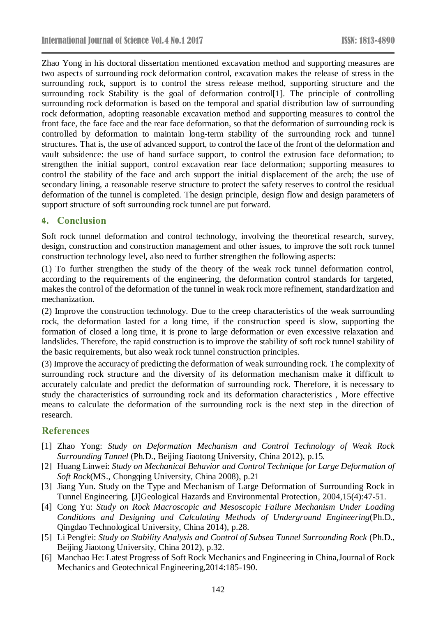Zhao Yong in his doctoral dissertation mentioned excavation method and supporting measures are two aspects of surrounding rock deformation control, excavation makes the release of stress in the surrounding rock, support is to control the stress release method, supporting structure and the surrounding rock Stability is the goal of deformation control[1]. The principle of controlling surrounding rock deformation is based on the temporal and spatial distribution law of surrounding rock deformation, adopting reasonable excavation method and supporting measures to control the front face, the face face and the rear face deformation, so that the deformation of surrounding rock is controlled by deformation to maintain long-term stability of the surrounding rock and tunnel structures. That is, the use of advanced support, to control the face of the front of the deformation and vault subsidence: the use of hand surface support, to control the extrusion face deformation; to strengthen the initial support, control excavation rear face deformation; supporting measures to control the stability of the face and arch support the initial displacement of the arch; the use of secondary lining, a reasonable reserve structure to protect the safety reserves to control the residual deformation of the tunnel is completed. The design principle, design flow and design parameters of support structure of soft surrounding rock tunnel are put forward.

### **4. Conclusion**

Soft rock tunnel deformation and control technology, involving the theoretical research, survey, design, construction and construction management and other issues, to improve the soft rock tunnel construction technology level, also need to further strengthen the following aspects:

(1) To further strengthen the study of the theory of the weak rock tunnel deformation control, according to the requirements of the engineering, the deformation control standards for targeted, makes the control of the deformation of the tunnel in weak rock more refinement, standardization and mechanization.

(2) Improve the construction technology. Due to the creep characteristics of the weak surrounding rock, the deformation lasted for a long time, if the construction speed is slow, supporting the formation of closed a long time, it is prone to large deformation or even excessive relaxation and landslides. Therefore, the rapid construction is to improve the stability of soft rock tunnel stability of the basic requirements, but also weak rock tunnel construction principles.

(3) Improve the accuracy of predicting the deformation of weak surrounding rock. The complexity of surrounding rock structure and the diversity of its deformation mechanism make it difficult to accurately calculate and predict the deformation of surrounding rock. Therefore, it is necessary to study the characteristics of surrounding rock and its deformation characteristics , More effective means to calculate the deformation of the surrounding rock is the next step in the direction of research.

# **References**

- [1] Zhao Yong: *Study on Deformation Mechanism and Control Technology of Weak Rock Surrounding Tunnel* (Ph.D., Beijing Jiaotong University, China 2012), p.15.
- [2] Huang Linwei: *Study on Mechanical Behavior and Control Technique for Large Deformation of Soft Rock*(MS., Chongqing University, China 2008), p.21
- [3] Jiang Yun. Study on the Type and Mechanism of Large Deformation of Surrounding Rock in Tunnel Engineering. [J]Geological Hazards and Environmental Protection, 2004,15(4):47-51.
- [4] Cong Yu: *Study on Rock Macroscopic and Mesoscopic Failure Mechanism Under Loading Conditions and Designing and Calculating Methods of Underground Engineering*(Ph.D., Qingdao Technological University, China 2014), p.28.
- [5] Li Pengfei: *Study on Stability Analysis and Control of Subsea Tunnel Surrounding Rock* (Ph.D., Beijing Jiaotong University, China 2012), p.32.
- [6] Manchao He: Latest Progress of Soft Rock Mechanics and Engineering in China,Journal of Rock Mechanics and Geotechnical Engineering,2014:185-190.